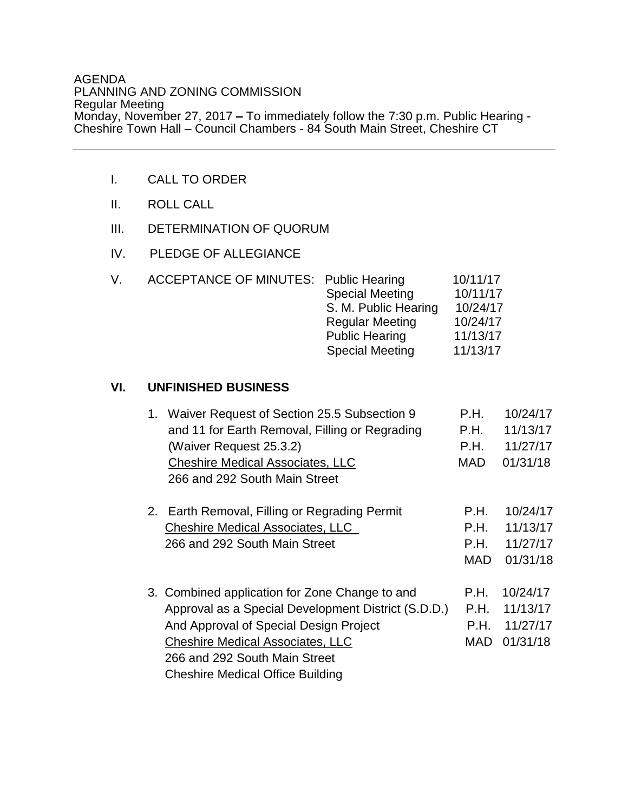## AGENDA PLANNING AND ZONING COMMISSION Regular Meeting Monday, November 27, 2017 **–** To immediately follow the 7:30 p.m. Public Hearing - Cheshire Town Hall – Council Chambers - 84 South Main Street, Cheshire CT

- I. CALL TO ORDER
- II. ROLL CALL
- III. DETERMINATION OF QUORUM
- IV. PLEDGE OF ALLEGIANCE

| V. | <b>ACCEPTANCE OF MINUTES: Public Hearing</b> |                        | 10/11/17 |
|----|----------------------------------------------|------------------------|----------|
|    |                                              | <b>Special Meeting</b> | 10/11/17 |
|    |                                              | S. M. Public Hearing   | 10/24/17 |
|    |                                              | <b>Regular Meeting</b> | 10/24/17 |
|    |                                              | <b>Public Hearing</b>  | 11/13/17 |
|    |                                              | <b>Special Meeting</b> | 11/13/17 |

## **VI. UNFINISHED BUSINESS**

| 1. | Waiver Request of Section 25.5 Subsection 9<br>and 11 for Earth Removal, Filling or Regrading<br>(Waiver Request 25.3.2)<br><b>Cheshire Medical Associates, LLC</b><br>266 and 292 South Main Street                                                                   | P.H.<br>P.H.<br>P.H.<br><b>MAD</b> | 10/24/17<br>11/13/17<br>11/27/17<br>01/31/18 |
|----|------------------------------------------------------------------------------------------------------------------------------------------------------------------------------------------------------------------------------------------------------------------------|------------------------------------|----------------------------------------------|
|    | 2. Earth Removal, Filling or Regrading Permit<br><b>Cheshire Medical Associates, LLC</b><br>266 and 292 South Main Street                                                                                                                                              | P.H.<br>P.H.<br>P.H.<br><b>MAD</b> | 10/24/17<br>11/13/17<br>11/27/17<br>01/31/18 |
|    | 3. Combined application for Zone Change to and<br>Approval as a Special Development District (S.D.D.)<br>And Approval of Special Design Project<br><b>Cheshire Medical Associates, LLC</b><br>266 and 292 South Main Street<br><b>Cheshire Medical Office Building</b> | P.H.<br>P.H.<br>P.H.<br><b>MAD</b> | 10/24/17<br>11/13/17<br>11/27/17<br>01/31/18 |